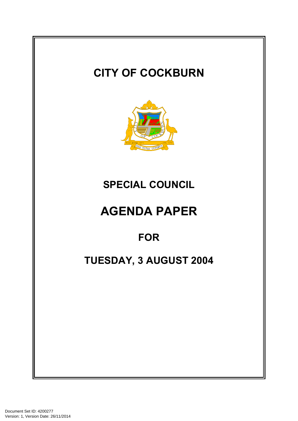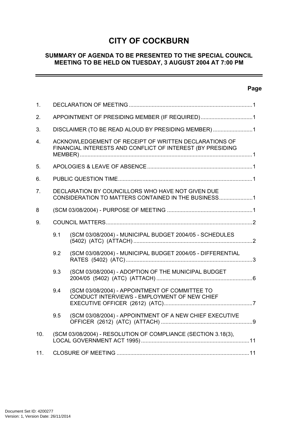# **CITY OF COCKBURN**

## **SUMMARY OF AGENDA TO BE PRESENTED TO THE SPECIAL COUNCIL MEETING TO BE HELD ON TUESDAY, 3 AUGUST 2004 AT 7:00 PM**

# **Page**

 $=$ 

| 1.               |                                                                                                                     |                                                                                                |  |  |  |  |
|------------------|---------------------------------------------------------------------------------------------------------------------|------------------------------------------------------------------------------------------------|--|--|--|--|
| 2.               | APPOINTMENT OF PRESIDING MEMBER (IF REQUIRED)1                                                                      |                                                                                                |  |  |  |  |
| 3.               | DISCLAIMER (TO BE READ ALOUD BY PRESIDING MEMBER)1                                                                  |                                                                                                |  |  |  |  |
| $\overline{4}$ . | ACKNOWLEDGEMENT OF RECEIPT OF WRITTEN DECLARATIONS OF<br>FINANCIAL INTERESTS AND CONFLICT OF INTEREST (BY PRESIDING |                                                                                                |  |  |  |  |
| 5.               |                                                                                                                     |                                                                                                |  |  |  |  |
| 6.               |                                                                                                                     |                                                                                                |  |  |  |  |
| 7 <sub>1</sub>   | DECLARATION BY COUNCILLORS WHO HAVE NOT GIVEN DUE<br>CONSIDERATION TO MATTERS CONTAINED IN THE BUSINESS1            |                                                                                                |  |  |  |  |
| 8                |                                                                                                                     |                                                                                                |  |  |  |  |
| 9.               |                                                                                                                     |                                                                                                |  |  |  |  |
|                  | 9.1                                                                                                                 | (SCM 03/08/2004) - MUNICIPAL BUDGET 2004/05 - SCHEDULES                                        |  |  |  |  |
|                  | 9.2                                                                                                                 | (SCM 03/08/2004) - MUNICIPAL BUDGET 2004/05 - DIFFERENTIAL                                     |  |  |  |  |
|                  | 9.3                                                                                                                 | (SCM 03/08/2004) - ADOPTION OF THE MUNICIPAL BUDGET                                            |  |  |  |  |
|                  | 9.4                                                                                                                 | (SCM 03/08/2004) - APPOINTMENT OF COMMITTEE TO<br>CONDUCT INTERVIEWS - EMPLOYMENT OF NEW CHIEF |  |  |  |  |
|                  | 9.5                                                                                                                 | (SCM 03/08/2004) - APPOINTMENT OF A NEW CHIEF EXECUTIVE                                        |  |  |  |  |
| 10.              |                                                                                                                     | (SCM 03/08/2004) - RESOLUTION OF COMPLIANCE (SECTION 3.18(3),                                  |  |  |  |  |
| 11.              |                                                                                                                     |                                                                                                |  |  |  |  |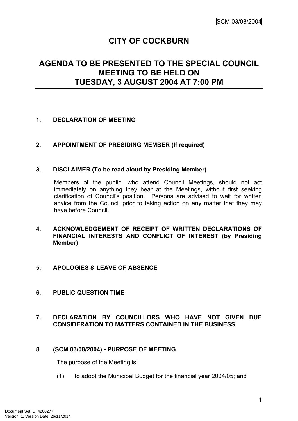# **CITY OF COCKBURN**

# **AGENDA TO BE PRESENTED TO THE SPECIAL COUNCIL MEETING TO BE HELD ON TUESDAY, 3 AUGUST 2004 AT 7:00 PM**

## <span id="page-2-0"></span>**1. DECLARATION OF MEETING**

## <span id="page-2-1"></span>**2. APPOINTMENT OF PRESIDING MEMBER (If required)**

## <span id="page-2-2"></span>**3. DISCLAIMER (To be read aloud by Presiding Member)**

Members of the public, who attend Council Meetings, should not act immediately on anything they hear at the Meetings, without first seeking clarification of Council's position. Persons are advised to wait for written advice from the Council prior to taking action on any matter that they may have before Council.

#### <span id="page-2-3"></span>**4. ACKNOWLEDGEMENT OF RECEIPT OF WRITTEN DECLARATIONS OF FINANCIAL INTERESTS AND CONFLICT OF INTEREST (by Presiding Member)**

## <span id="page-2-4"></span>**5. APOLOGIES & LEAVE OF ABSENCE**

## <span id="page-2-5"></span>**6. PUBLIC QUESTION TIME**

## <span id="page-2-6"></span>**7. DECLARATION BY COUNCILLORS WHO HAVE NOT GIVEN DUE CONSIDERATION TO MATTERS CONTAINED IN THE BUSINESS**

## <span id="page-2-7"></span>**8 (SCM 03/08/2004) - PURPOSE OF MEETING**

The purpose of the Meeting is:

(1) to adopt the Municipal Budget for the financial year 2004/05; and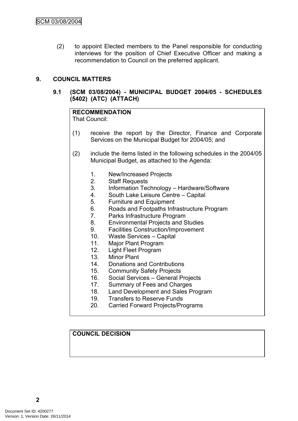(2) to appoint Elected members to the Panel responsible for conducting interviews for the position of Chief Executive Officer and making a recommendation to Council on the preferred applicant.

# <span id="page-3-0"></span>**9. COUNCIL MATTERS**

## <span id="page-3-1"></span>**9.1 (SCM 03/08/2004) - MUNICIPAL BUDGET 2004/05 - SCHEDULES (5402) (ATC) (ATTACH)**

# **RECOMMENDATION**

That Council:

- (1) receive the report by the Director, Finance and Corporate Services on the Municipal Budget for 2004/05; and
- (2) include the items listed in the following schedules in the 2004/05 Municipal Budget, as attached to the Agenda:
	- 1. New/Increased Projects
	- 2. Staff Requests
	- 3. Information Technology Hardware/Software
	- 4. South Lake Leisure Centre Capital
	- 5. Furniture and Equipment
	- 6. Roads and Footpaths Infrastructure Program
	- 7. Parks Infrastructure Program
	- 8. Environmental Projects and Studies
	- 9. Facilities Construction/Improvement
	- 10. Waste Services Capital
	- 11. Major Plant Program
	- 12. Light Fleet Program
	- 13. Minor Plant
	- 14. Donations and Contributions
	- 15. Community Safety Projects
	- 16. Social Services General Projects
	- 17. Summary of Fees and Charges
	- 18. Land Development and Sales Program
	- 19. Transfers to Reserve Funds
	- 20. Carried Forward Projects/Programs

## **COUNCIL DECISION**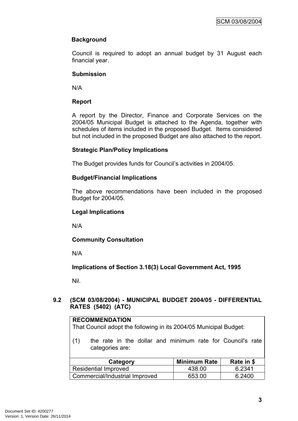## **Background**

Council is required to adopt an annual budget by 31 August each financial year.

## **Submission**

N/A

## **Report**

A report by the Director, Finance and Corporate Services on the 2004/05 Municipal Budget is attached to the Agenda, together with schedules of items included in the proposed Budget. Items considered but not included in the proposed Budget are also attached to the report.

## **Strategic Plan/Policy Implications**

The Budget provides funds for Council's activities in 2004/05.

## **Budget/Financial Implications**

The above recommendations have been included in the proposed Budget for 2004/05.

## **Legal Implications**

N/A

## **Community Consultation**

N/A

**Implications of Section 3.18(3) Local Government Act, 1995**

Nil.

## <span id="page-4-0"></span>**9.2 (SCM 03/08/2004) - MUNICIPAL BUDGET 2004/05 - DIFFERENTIAL RATES (5402) (ATC)**

#### **RECOMMENDATION**

That Council adopt the following in its 2004/05 Municipal Budget:

(1) the rate in the dollar and minimum rate for Council's rate categories are:

| Category                       | <b>Minimum Rate</b> | Rate in \$ |
|--------------------------------|---------------------|------------|
| <b>Residential Improved</b>    | 438.00              | 6.2341     |
| Commercial/Industrial Improved | 653.00              | 6.2400     |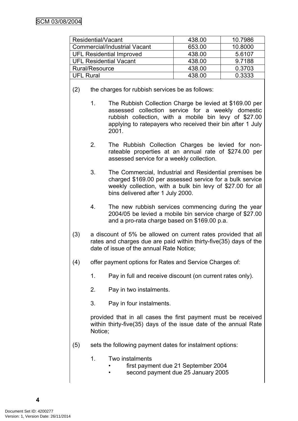| Residential/Vacant                  | 438.00 | 10.7986 |
|-------------------------------------|--------|---------|
| <b>Commercial/Industrial Vacant</b> | 653.00 | 10.8000 |
| <b>UFL Residential Improved</b>     | 438.00 | 5.6107  |
| <b>UFL Residential Vacant</b>       | 438.00 | 9.7188  |
| Rural/Resource                      | 438.00 | 0.3703  |
| <b>UFL Rural</b>                    | 438.00 | 0.3333  |

- (2) the charges for rubbish services be as follows:
	- 1. The Rubbish Collection Charge be levied at \$169.00 per assessed collection service for a weekly domestic rubbish collection, with a mobile bin levy of \$27.00 applying to ratepayers who received their bin after 1 July 2001.
	- 2. The Rubbish Collection Charges be levied for nonrateable properties at an annual rate of \$274.00 per assessed service for a weekly collection.
	- 3. The Commercial, Industrial and Residential premises be charged \$169.00 per assessed service for a bulk service weekly collection, with a bulk bin levy of \$27.00 for all bins delivered after 1 July 2000.
	- 4. The new rubbish services commencing during the year 2004/05 be levied a mobile bin service charge of \$27.00 and a pro-rata charge based on \$169.00 p.a.
- (3) a discount of 5% be allowed on current rates provided that all rates and charges due are paid within thirty-five(35) days of the date of issue of the annual Rate Notice;
- (4) offer payment options for Rates and Service Charges of:
	- 1. Pay in full and receive discount (on current rates only).
	- 2. Pay in two instalments.
	- 3. Pay in four instalments.

provided that in all cases the first payment must be received within thirty-five(35) days of the issue date of the annual Rate Notice;

- (5) sets the following payment dates for instalment options:
	- 1. Two instalments
		- first payment due 21 September 2004
		- second payment due 25 January 2005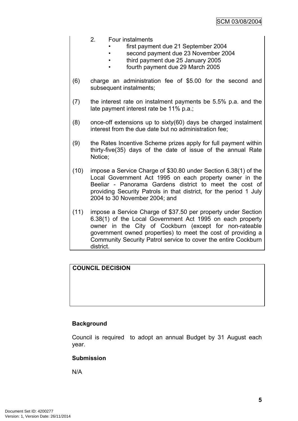## 2. Four instalments

- first payment due 21 September 2004
- second payment due 23 November 2004
- third payment due 25 January 2005
- fourth payment due 29 March 2005
- (6) charge an administration fee of \$5.00 for the second and subsequent instalments;
- (7) the interest rate on instalment payments be 5.5% p.a. and the late payment interest rate be 11% p.a.;
- (8) once-off extensions up to sixty(60) days be charged instalment interest from the due date but no administration fee;
- (9) the Rates Incentive Scheme prizes apply for full payment within thirty-five(35) days of the date of issue of the annual Rate Notice;
- (10) impose a Service Charge of \$30.80 under Section 6.38(1) of the Local Government Act 1995 on each property owner in the Beeliar - Panorama Gardens district to meet the cost of providing Security Patrols in that district, for the period 1 July 2004 to 30 November 2004; and
- (11) impose a Service Charge of \$37.50 per property under Section 6.38(1) of the Local Government Act 1995 on each property owner in the City of Cockburn (except for non-rateable government owned properties) to meet the cost of providing a Community Security Patrol service to cover the entire Cockburn district.

# **COUNCIL DECISION**

## **Background**

Council is required to adopt an annual Budget by 31 August each year.

## **Submission**

N/A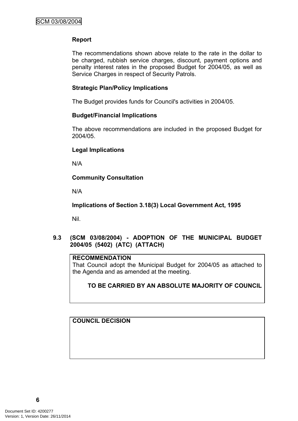# **Report**

The recommendations shown above relate to the rate in the dollar to be charged, rubbish service charges, discount, payment options and penalty interest rates in the proposed Budget for 2004/05, as well as Service Charges in respect of Security Patrols.

## **Strategic Plan/Policy Implications**

The Budget provides funds for Council's activities in 2004/05.

## **Budget/Financial Implications**

The above recommendations are included in the proposed Budget for 2004/05.

## **Legal Implications**

N/A

# **Community Consultation**

N/A

**Implications of Section 3.18(3) Local Government Act, 1995**

Nil.

<span id="page-7-0"></span>**9.3 (SCM 03/08/2004) - ADOPTION OF THE MUNICIPAL BUDGET 2004/05 (5402) (ATC) (ATTACH)**

# **RECOMMENDATION**

That Council adopt the Municipal Budget for 2004/05 as attached to the Agenda and as amended at the meeting.

# **TO BE CARRIED BY AN ABSOLUTE MAJORITY OF COUNCIL**

# **COUNCIL DECISION**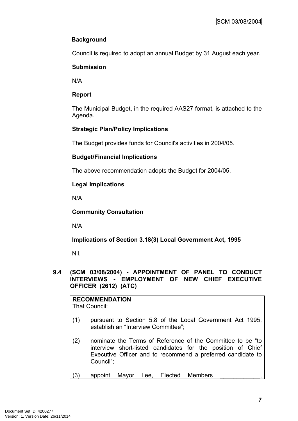# **Background**

Council is required to adopt an annual Budget by 31 August each year.

# **Submission**

N/A

# **Report**

The Municipal Budget, in the required AAS27 format, is attached to the Agenda.

# **Strategic Plan/Policy Implications**

The Budget provides funds for Council's activities in 2004/05.

# **Budget/Financial Implications**

The above recommendation adopts the Budget for 2004/05.

# **Legal Implications**

N/A

**Community Consultation**

N/A

**Implications of Section 3.18(3) Local Government Act, 1995**

Nil.

## <span id="page-8-0"></span>**9.4 (SCM 03/08/2004) - APPOINTMENT OF PANEL TO CONDUCT INTERVIEWS - EMPLOYMENT OF NEW CHIEF EXECUTIVE OFFICER (2612) (ATC)**

**RECOMMENDATION** That Council:

- (1) pursuant to Section 5.8 of the Local Government Act 1995, establish an "Interview Committee";
- (2) nominate the Terms of Reference of the Committee to be "to interview short-listed candidates for the position of Chief Executive Officer and to recommend a preferred candidate to Council";
- (3) appoint Mayor Lee, Elected Members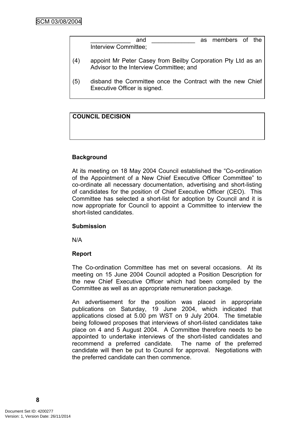| and                  |  | as members of the |  |
|----------------------|--|-------------------|--|
| Interview Committee; |  |                   |  |

- (4) appoint Mr Peter Casey from Beilby Corporation Pty Ltd as an Advisor to the Interview Committee; and
- (5) disband the Committee once the Contract with the new Chief Executive Officer is signed.

# **COUNCIL DECISION**

## **Background**

At its meeting on 18 May 2004 Council established the "Co-ordination of the Appointment of a New Chief Executive Officer Committee" to co-ordinate all necessary documentation, advertising and short-listing of candidates for the position of Chief Executive Officer (CEO). This Committee has selected a short-list for adoption by Council and it is now appropriate for Council to appoint a Committee to interview the short-listed candidates.

#### **Submission**

N/A

## **Report**

The Co-ordination Committee has met on several occasions. At its meeting on 15 June 2004 Council adopted a Position Description for the new Chief Executive Officer which had been compiled by the Committee as well as an appropriate remuneration package.

An advertisement for the position was placed in appropriate publications on Saturday, 19 June 2004, which indicated that applications closed at 5.00 pm WST on 9 July 2004. The timetable being followed proposes that interviews of short-listed candidates take place on 4 and 5 August 2004. A Committee therefore needs to be appointed to undertake interviews of the short-listed candidates and recommend a preferred candidate. The name of the preferred candidate will then be put to Council for approval. Negotiations with the preferred candidate can then commence.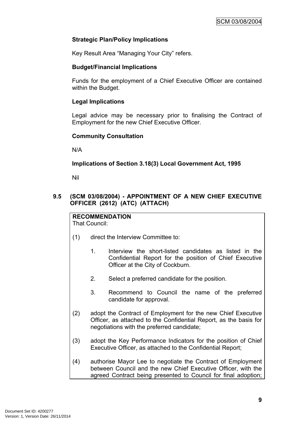# **Strategic Plan/Policy Implications**

Key Result Area "Managing Your City" refers.

## **Budget/Financial Implications**

Funds for the employment of a Chief Executive Officer are contained within the Budget.

## **Legal Implications**

Legal advice may be necessary prior to finalising the Contract of Employment for the new Chief Executive Officer.

## **Community Consultation**

N/A

# **Implications of Section 3.18(3) Local Government Act, 1995**

Nil

# <span id="page-10-0"></span>**9.5 (SCM 03/08/2004) - APPOINTMENT OF A NEW CHIEF EXECUTIVE OFFICER (2612) (ATC) (ATTACH)**

# **RECOMMENDATION**

That Council:

- (1) direct the Interview Committee to:
	- 1. Interview the short-listed candidates as listed in the Confidential Report for the position of Chief Executive Officer at the City of Cockburn.
	- 2. Select a preferred candidate for the position.
	- 3. Recommend to Council the name of the preferred candidate for approval.
- (2) adopt the Contract of Employment for the new Chief Executive Officer, as attached to the Confidential Report, as the basis for negotiations with the preferred candidate;
- (3) adopt the Key Performance Indicators for the position of Chief Executive Officer, as attached to the Confidential Report;
- (4) authorise Mayor Lee to negotiate the Contract of Employment between Council and the new Chief Executive Officer, with the agreed Contract being presented to Council for final adoption;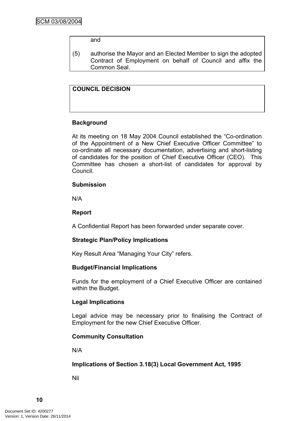#### and

(5) authorise the Mayor and an Elected Member to sign the adopted Contract of Employment on behalf of Council and affix the Common Seal.

## **COUNCIL DECISION**

## **Background**

At its meeting on 18 May 2004 Council established the "Co-ordination of the Appointment of a New Chief Executive Officer Committee" to co-ordinate all necessary documentation, advertising and short-listing of candidates for the position of Chief Executive Officer (CEO). This Committee has chosen a short-list of candidates for approval by Council.

#### **Submission**

N/A

## **Report**

A Confidential Report has been forwarded under separate cover.

## **Strategic Plan/Policy Implications**

Key Result Area "Managing Your City" refers.

## **Budget/Financial Implications**

Funds for the employment of a Chief Executive Officer are contained within the Budget.

## **Legal Implications**

Legal advice may be necessary prior to finalising the Contract of Employment for the new Chief Executive Officer.

## **Community Consultation**

N/A

## **Implications of Section 3.18(3) Local Government Act, 1995**

Nil